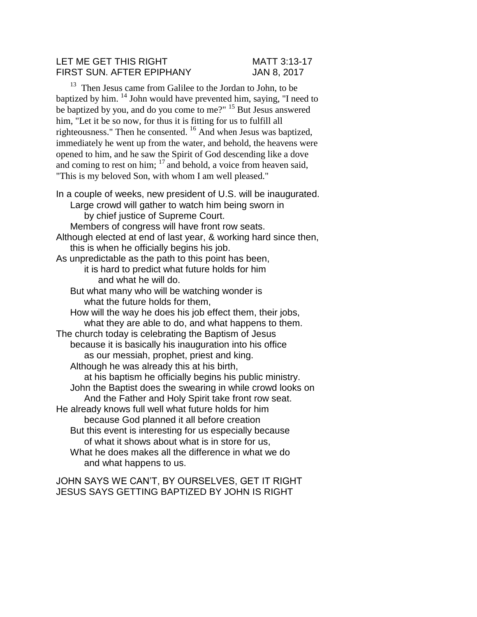#### LET ME GET THIS RIGHT MATT 3:13-17 FIRST SUN. AFTER EPIPHANY JAN 8, 2017

<sup>13</sup> Then Jesus came from Galilee to the Jordan to John, to be baptized by him. <sup>14</sup> John would have prevented him, saying, "I need to be baptized by you, and do you come to me?" <sup>15</sup> But Jesus answered him, "Let it be so now, for thus it is fitting for us to fulfill all righteousness." Then he consented. <sup>16</sup> And when Jesus was baptized, immediately he went up from the water, and behold, the heavens were opened to him, and he saw the Spirit of God descending like a dove and coming to rest on him;  $17$  and behold, a voice from heaven said, "This is my beloved Son, with whom I am well pleased."

In a couple of weeks, new president of U.S. will be inaugurated. Large crowd will gather to watch him being sworn in by chief justice of Supreme Court. Members of congress will have front row seats. Although elected at end of last year, & working hard since then, this is when he officially begins his job. As unpredictable as the path to this point has been, it is hard to predict what future holds for him and what he will do. But what many who will be watching wonder is what the future holds for them, How will the way he does his job effect them, their jobs, what they are able to do, and what happens to them. The church today is celebrating the Baptism of Jesus because it is basically his inauguration into his office as our messiah, prophet, priest and king. Although he was already this at his birth, at his baptism he officially begins his public ministry. John the Baptist does the swearing in while crowd looks on And the Father and Holy Spirit take front row seat. He already knows full well what future holds for him because God planned it all before creation But this event is interesting for us especially because of what it shows about what is in store for us, What he does makes all the difference in what we do and what happens to us.

JOHN SAYS WE CAN'T, BY OURSELVES, GET IT RIGHT JESUS SAYS GETTING BAPTIZED BY JOHN IS RIGHT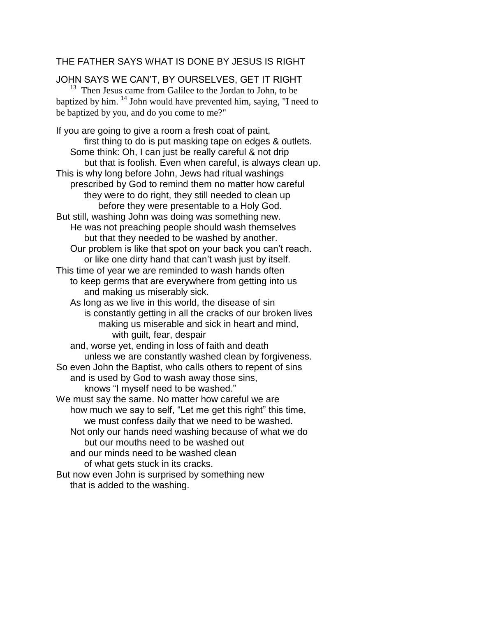## THE FATHER SAYS WHAT IS DONE BY JESUS IS RIGHT

JOHN SAYS WE CAN'T, BY OURSELVES, GET IT RIGHT  $13$  Then Jesus came from Galilee to the Jordan to John, to be baptized by him.  $^{14}$  John would have prevented him, saying, "I need to be baptized by you, and do you come to me?"

If you are going to give a room a fresh coat of paint, first thing to do is put masking tape on edges & outlets. Some think: Oh, I can just be really careful & not drip but that is foolish. Even when careful, is always clean up. This is why long before John, Jews had ritual washings prescribed by God to remind them no matter how careful they were to do right, they still needed to clean up before they were presentable to a Holy God. But still, washing John was doing was something new. He was not preaching people should wash themselves but that they needed to be washed by another. Our problem is like that spot on your back you can't reach. or like one dirty hand that can't wash just by itself. This time of year we are reminded to wash hands often to keep germs that are everywhere from getting into us and making us miserably sick. As long as we live in this world, the disease of sin is constantly getting in all the cracks of our broken lives making us miserable and sick in heart and mind, with guilt, fear, despair and, worse yet, ending in loss of faith and death unless we are constantly washed clean by forgiveness. So even John the Baptist, who calls others to repent of sins and is used by God to wash away those sins, knows "I myself need to be washed." We must say the same. No matter how careful we are how much we say to self, "Let me get this right" this time, we must confess daily that we need to be washed. Not only our hands need washing because of what we do but our mouths need to be washed out and our minds need to be washed clean of what gets stuck in its cracks. But now even John is surprised by something new that is added to the washing.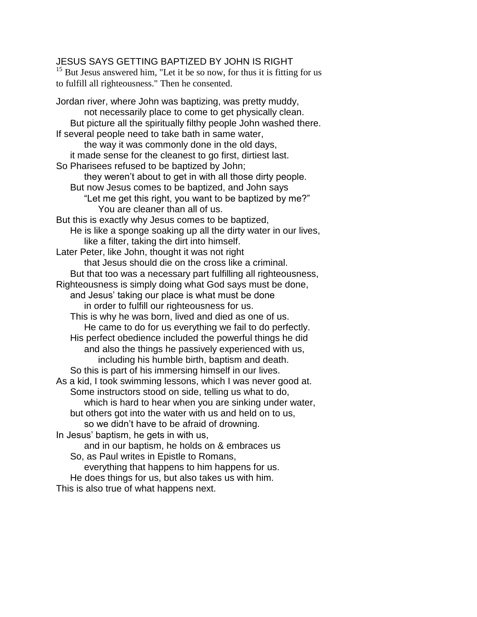## JESUS SAYS GETTING BAPTIZED BY JOHN IS RIGHT

 $15$  But Jesus answered him, "Let it be so now, for thus it is fitting for us to fulfill all righteousness." Then he consented.

Jordan river, where John was baptizing, was pretty muddy, not necessarily place to come to get physically clean. But picture all the spiritually filthy people John washed there. If several people need to take bath in same water, the way it was commonly done in the old days, it made sense for the cleanest to go first, dirtiest last. So Pharisees refused to be baptized by John; they weren't about to get in with all those dirty people. But now Jesus comes to be baptized, and John says "Let me get this right, you want to be baptized by me?" You are cleaner than all of us. But this is exactly why Jesus comes to be baptized, He is like a sponge soaking up all the dirty water in our lives, like a filter, taking the dirt into himself. Later Peter, like John, thought it was not right that Jesus should die on the cross like a criminal. But that too was a necessary part fulfilling all righteousness, Righteousness is simply doing what God says must be done, and Jesus' taking our place is what must be done in order to fulfill our righteousness for us. This is why he was born, lived and died as one of us. He came to do for us everything we fail to do perfectly. His perfect obedience included the powerful things he did and also the things he passively experienced with us, including his humble birth, baptism and death. So this is part of his immersing himself in our lives. As a kid, I took swimming lessons, which I was never good at. Some instructors stood on side, telling us what to do, which is hard to hear when you are sinking under water, but others got into the water with us and held on to us, so we didn't have to be afraid of drowning. In Jesus' baptism, he gets in with us, and in our baptism, he holds on & embraces us So, as Paul writes in Epistle to Romans, everything that happens to him happens for us. He does things for us, but also takes us with him. This is also true of what happens next.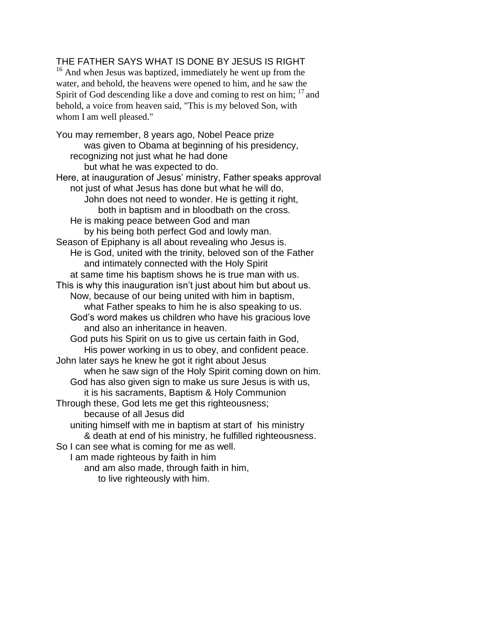# THE FATHER SAYS WHAT IS DONE BY JESUS IS RIGHT

<sup>16</sup> And when Jesus was baptized, immediately he went up from the water, and behold, the heavens were opened to him, and he saw the Spirit of God descending like a dove and coming to rest on him;  $17$  and behold, a voice from heaven said, "This is my beloved Son, with whom I am well pleased."

You may remember, 8 years ago, Nobel Peace prize was given to Obama at beginning of his presidency, recognizing not just what he had done but what he was expected to do. Here, at inauguration of Jesus' ministry, Father speaks approval not just of what Jesus has done but what he will do, John does not need to wonder. He is getting it right, both in baptism and in bloodbath on the cross. He is making peace between God and man by his being both perfect God and lowly man. Season of Epiphany is all about revealing who Jesus is. He is God, united with the trinity, beloved son of the Father and intimately connected with the Holy Spirit at same time his baptism shows he is true man with us. This is why this inauguration isn't just about him but about us. Now, because of our being united with him in baptism, what Father speaks to him he is also speaking to us. God's word makes us children who have his gracious love and also an inheritance in heaven. God puts his Spirit on us to give us certain faith in God, His power working in us to obey, and confident peace. John later says he knew he got it right about Jesus when he saw sign of the Holy Spirit coming down on him. God has also given sign to make us sure Jesus is with us, it is his sacraments, Baptism & Holy Communion Through these, God lets me get this righteousness; because of all Jesus did uniting himself with me in baptism at start of his ministry & death at end of his ministry, he fulfilled righteousness. So I can see what is coming for me as well. I am made righteous by faith in him and am also made, through faith in him, to live righteously with him.